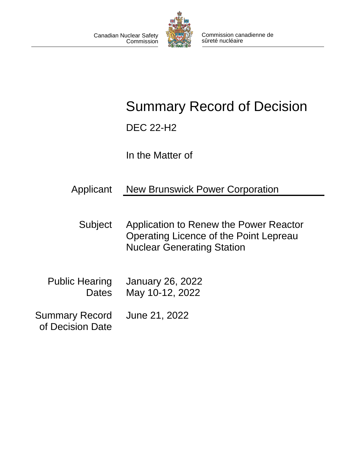

# Summary Record of Decision

DEC 22-H2

In the Matter of

| Applicant | <b>New Brunswick Power Corporation</b> |
|-----------|----------------------------------------|
|           |                                        |

- Subject Application to Renew the Power Reactor Operating Licence of the Point Lepreau Nuclear Generating Station
- Public Hearing **Dates** January 26, 2022 May 10-12, 2022
- Summary Record of Decision Date June 21, 2022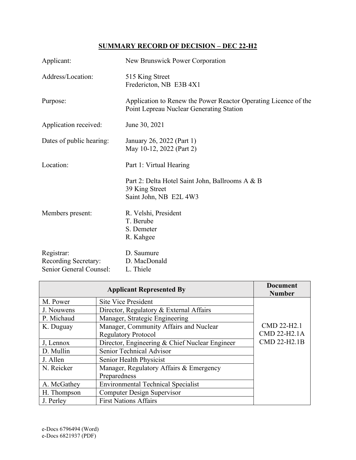## **SUMMARY RECORD OF DECISION – DEC 22-H2**

| Applicant:                         | New Brunswick Power Corporation                                                                             |
|------------------------------------|-------------------------------------------------------------------------------------------------------------|
| Address/Location:                  | 515 King Street<br>Fredericton, NB E3B 4X1                                                                  |
| Purpose:                           | Application to Renew the Power Reactor Operating Licence of the<br>Point Lepreau Nuclear Generating Station |
| Application received:              | June 30, 2021                                                                                               |
| Dates of public hearing:           | January 26, 2022 (Part 1)<br>May 10-12, 2022 (Part 2)                                                       |
| Location:                          | Part 1: Virtual Hearing                                                                                     |
|                                    | Part 2: Delta Hotel Saint John, Ballrooms A & B<br>39 King Street<br>Saint John, NB E2L 4W3                 |
| Members present:                   | R. Velshi, President<br>T. Berube<br>S. Demeter<br>R. Kahgee                                                |
| Registrar:<br>Recording Secretary: | D. Saumure<br>D. MacDonald                                                                                  |
| Senior General Counsel:            | L. Thiele                                                                                                   |

|             | <b>Applicant Represented By</b>                | <b>Document</b><br><b>Number</b> |
|-------------|------------------------------------------------|----------------------------------|
| M. Power    | <b>Site Vice President</b>                     |                                  |
| J. Nouwens  | Director, Regulatory & External Affairs        |                                  |
| P. Michaud  | Manager, Strategic Engineering                 |                                  |
| K. Duguay   | Manager, Community Affairs and Nuclear         | CMD 22-H2.1                      |
|             | <b>Regulatory Protocol</b>                     | CMD 22-H2.1A                     |
| J, Lennox   | Director, Engineering & Chief Nuclear Engineer | CMD 22-H2.1B                     |
| D. Mullin   | Senior Technical Advisor                       |                                  |
| J. Allen    | Senior Health Physicist                        |                                  |
| N. Reicker  | Manager, Regulatory Affairs & Emergency        |                                  |
|             | Preparedness                                   |                                  |
| A. McGathey | <b>Environmental Technical Specialist</b>      |                                  |
| H. Thompson | <b>Computer Design Supervisor</b>              |                                  |
| J. Perley   | <b>First Nations Affairs</b>                   |                                  |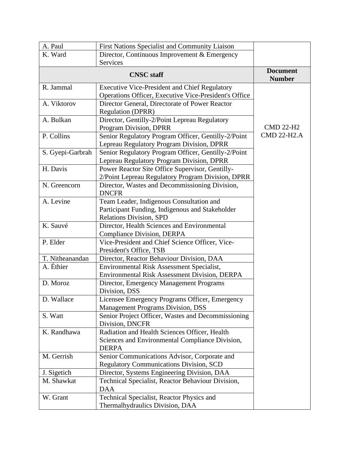| A. Paul                                                 | First Nations Specialist and Community Liaison                  |                                  |
|---------------------------------------------------------|-----------------------------------------------------------------|----------------------------------|
| K. Ward<br>Director, Continuous Improvement & Emergency |                                                                 |                                  |
|                                                         | <b>Services</b>                                                 |                                  |
| <b>CNSC</b> staff                                       |                                                                 | <b>Document</b><br><b>Number</b> |
| R. Jammal                                               | <b>Executive Vice-President and Chief Regulatory</b>            |                                  |
|                                                         | Operations Officer, Executive Vice-President's Office           |                                  |
| A. Viktorov                                             | Director General, Directorate of Power Reactor                  |                                  |
|                                                         | <b>Regulation (DPRR)</b>                                        |                                  |
| A. Bulkan                                               | Director, Gentilly-2/Point Lepreau Regulatory                   |                                  |
|                                                         | Program Division, DPRR                                          | <b>CMD 22-H2</b>                 |
| P. Collins                                              | Senior Regulatory Program Officer, Gentilly-2/Point             | <b>CMD 22-H2.A</b>               |
|                                                         | Lepreau Regulatory Program Division, DPRR                       |                                  |
| S. Gyepi-Garbrah                                        | Senior Regulatory Program Officer, Gentilly-2/Point             |                                  |
|                                                         | Lepreau Regulatory Program Division, DPRR                       |                                  |
| H. Davis                                                | Power Reactor Site Office Supervisor, Gentilly-                 |                                  |
|                                                         | 2/Point Lepreau Regulatory Program Division, DPRR               |                                  |
| N. Greencorn                                            | Director, Wastes and Decommissioning Division,<br><b>DNCFR</b>  |                                  |
| A. Levine                                               | Team Leader, Indigenous Consultation and                        |                                  |
|                                                         | Participant Funding, Indigenous and Stakeholder                 |                                  |
|                                                         | <b>Relations Division, SPD</b>                                  |                                  |
| K. Sauvé                                                | Director, Health Sciences and Environmental                     |                                  |
|                                                         | <b>Compliance Division, DERPA</b>                               |                                  |
| P. Elder                                                | Vice-President and Chief Science Officer, Vice-                 |                                  |
|                                                         | President's Office, TSB                                         |                                  |
| T. Nitheanandan                                         | Director, Reactor Behaviour Division, DAA                       |                                  |
| A. Éthier                                               | Environmental Risk Assessment Specialist,                       |                                  |
|                                                         | Environmental Risk Assessment Division, DERPA                   |                                  |
| D. Moroz                                                | Director, Emergency Management Programs                         |                                  |
|                                                         | Division, DSS                                                   |                                  |
| D. Wallace                                              | Licensee Emergency Programs Officer, Emergency                  |                                  |
|                                                         | Management Programs Division, DSS                               |                                  |
| S. Watt                                                 | Senior Project Officer, Wastes and Decommissioning              |                                  |
|                                                         | Division, DNCFR                                                 |                                  |
| K. Randhawa                                             | Radiation and Health Sciences Officer, Health                   |                                  |
|                                                         | Sciences and Environmental Compliance Division,<br><b>DERPA</b> |                                  |
| M. Gerrish                                              | Senior Communications Advisor, Corporate and                    |                                  |
|                                                         | <b>Regulatory Communications Division, SCD</b>                  |                                  |
| J. Sigetich                                             | Director, Systems Engineering Division, DAA                     |                                  |
| M. Shawkat                                              | Technical Specialist, Reactor Behaviour Division,               |                                  |
|                                                         | <b>DAA</b>                                                      |                                  |
| W. Grant                                                | Technical Specialist, Reactor Physics and                       |                                  |
|                                                         | Thermalhydraulics Division, DAA                                 |                                  |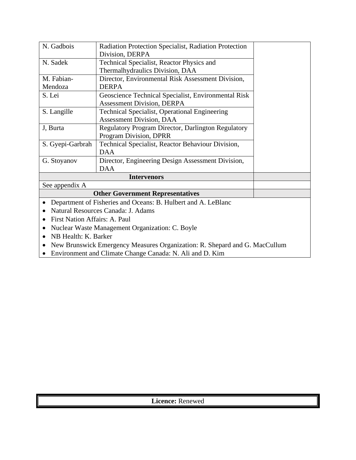| N. Gadbois                                                   | Radiation Protection Specialist, Radiation Protection         |  |
|--------------------------------------------------------------|---------------------------------------------------------------|--|
|                                                              | Division, DERPA                                               |  |
| N. Sadek                                                     | Technical Specialist, Reactor Physics and                     |  |
|                                                              | Thermalhydraulics Division, DAA                               |  |
| M. Fabian-                                                   | Director, Environmental Risk Assessment Division,             |  |
| Mendoza                                                      | <b>DERPA</b>                                                  |  |
| S. Lei                                                       | Geoscience Technical Specialist, Environmental Risk           |  |
|                                                              | <b>Assessment Division, DERPA</b>                             |  |
| S. Langille                                                  | Technical Specialist, Operational Engineering                 |  |
|                                                              | <b>Assessment Division, DAA</b>                               |  |
| J, Burta                                                     | Regulatory Program Director, Darlington Regulatory            |  |
|                                                              | Program Division, DPRR                                        |  |
| S. Gyepi-Garbrah                                             | Technical Specialist, Reactor Behaviour Division,             |  |
|                                                              | <b>DAA</b>                                                    |  |
| G. Stoyanov                                                  | Director, Engineering Design Assessment Division,             |  |
|                                                              | <b>DAA</b>                                                    |  |
|                                                              | <b>Intervenors</b>                                            |  |
| See appendix A                                               |                                                               |  |
|                                                              | <b>Other Government Representatives</b>                       |  |
|                                                              | Department of Fisheries and Oceans: B. Hulbert and A. LeBlanc |  |
| Natural Resources Canada: J. Adams                           |                                                               |  |
| <b>First Nation Affairs: A. Paul</b>                         |                                                               |  |
| Nuclear Waste Management Organization: C. Boyle<br>$\bullet$ |                                                               |  |
| NB Health: K. Barker                                         |                                                               |  |

- New Brunswick Emergency Measures Organization: R. Shepard and G. MacCullum
- Environment and Climate Change Canada: N. Ali and D. Kim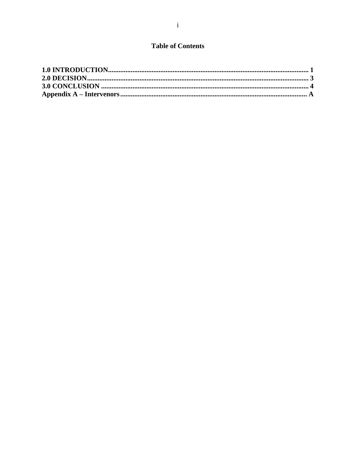## **Table of Contents**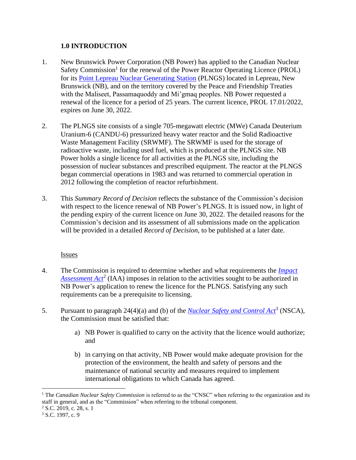#### <span id="page-5-0"></span>**1.0 INTRODUCTION**

- 1. New Brunswick Power Corporation (NB Power) has applied to the Canadian Nuclear Safety Commission<sup>1</sup> for the renewal of the Power Reactor Operating Licence (PROL) for its [Point Lepreau Nuclear Generating Station](https://nuclearsafety.gc.ca/eng/reactors/power-plants/nuclear-facilities/point-lepreau-nuclear-generating-station/index.cfm) (PLNGS) located in Lepreau, New Brunswick (NB), and on the territory covered by the Peace and Friendship Treaties with the Maliseet, Passamaquoddy and Mi'gmaq peoples. NB Power requested a renewal of the licence for a period of 25 years. The current licence, PROL 17.01/2022, expires on June 30, 2022.
- 2. The PLNGS site consists of a single 705-megawatt electric (MWe) Canada Deuterium Uranium-6 (CANDU-6) pressurized heavy water reactor and the Solid Radioactive Waste Management Facility (SRWMF). The SRWMF is used for the storage of radioactive waste, including used fuel, which is produced at the PLNGS site. NB Power holds a single licence for all activities at the PLNGS site, including the possession of nuclear substances and prescribed equipment. The reactor at the PLNGS began commercial operations in 1983 and was returned to commercial operation in 2012 following the completion of reactor refurbishment.
- 3. This *Summary Record of Decision* reflects the substance of the Commission's decision with respect to the licence renewal of NB Power's PLNGS. It is issued now, in light of the pending expiry of the current licence on June 30, 2022. The detailed reasons for the Commission's decision and its assessment of all submissions made on the application will be provided in a detailed *Record of Decision*, to be published at a later date.

#### Issues

- 4. The Commission is required to determine whether and what requirements the *[Impact](https://laws.justice.gc.ca/eng/acts/I-2.75/FullText.html)*  [Assessment Act](https://laws.justice.gc.ca/eng/acts/I-2.75/FullText.html)<sup>2</sup> (IAA) imposes in relation to the activities sought to be authorized in NB Power's application to renew the licence for the PLNGS. Satisfying any such requirements can be a prerequisite to licensing.
- 5. Pursuant to paragraph 24(4)(a) and (b) of the *[Nuclear Safety and Control Act](http://laws-lois.justice.gc.ca/eng/acts/N-28.3/index.html)*<sup>3</sup> (NSCA), the Commission must be satisfied that:
	- a) NB Power is qualified to carry on the activity that the licence would authorize; and
	- b) in carrying on that activity, NB Power would make adequate provision for the protection of the environment, the health and safety of persons and the maintenance of national security and measures required to implement international obligations to which Canada has agreed.

<sup>&</sup>lt;sup>1</sup> The *Canadian Nuclear Safety Commission* is referred to as the "CNSC" when referring to the organization and its staff in general, and as the "Commission" when referring to the tribunal component.

 $2$  S.C. 2019, c. 28, s. 1

<sup>&</sup>lt;sup>3</sup> S.C. 1997, c. 9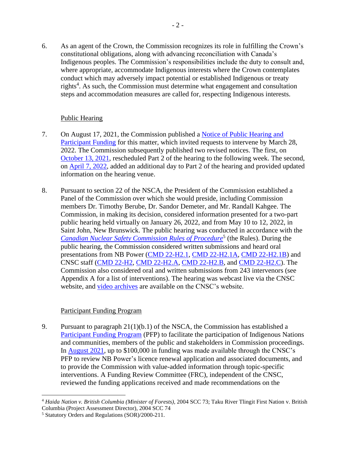6. As an agent of the Crown, the Commission recognizes its role in fulfilling the Crown's constitutional obligations, along with advancing reconciliation with Canada's Indigenous peoples. The Commission's responsibilities include the duty to consult and, where appropriate, accommodate Indigenous interests where the Crown contemplates conduct which may adversely impact potential or established Indigenous or treaty rights<sup>4</sup>. As such, the Commission must determine what engagement and consultation steps and accommodation measures are called for, respecting Indigenous interests.

#### Public Hearing

- 7. On August 17, 2021, the Commission published a [Notice of Public Hearing and](https://nuclearsafety.gc.ca/eng/the-commission/pdf/Notice-PublicHearingPFP-NBPower-22-H2-e.pdf)  [Participant Funding](https://nuclearsafety.gc.ca/eng/the-commission/pdf/Notice-PublicHearingPFP-NBPower-22-H2-e.pdf) for this matter, which invited requests to intervene by March 28, 2022. The Commission subsequently published two revised notices. The first, on [October 13, 2021,](https://nuclearsafety.gc.ca/eng/the-commission/pdf/NoticeRevision1-PublicHearingPFP-NBPower-22-H2-e.pdf) rescheduled Part 2 of the hearing to the following week. The second, on [April 7, 2022,](https://nuclearsafety.gc.ca/eng/the-commission/pdf/NoticeRevision2-PublicHearingPFP-NBPower-22-H2-e.pdf) added an additional day to Part 2 of the hearing and provided updated information on the hearing venue.
- 8. Pursuant to section 22 of the NSCA, the President of the Commission established a Panel of the Commission over which she would preside, including Commission members Dr. Timothy Berube, Dr. Sandor Demeter, and Mr. Randall Kahgee. The Commission, in making its decision, considered information presented for a two-part public hearing held virtually on January 26, 2022, and from May 10 to 12, 2022, in Saint John, New Brunswick. The public hearing was conducted in accordance with the **[Canadian Nuclear Safety Commission Rules of Procedure](https://laws.justice.gc.ca/eng/regulations/sor-2000-211/page-1.html)<sup>5</sup> (the Rules). During the** public hearing, the Commission considered written submissions and heard oral presentations from NB Power [\(CMD 22-H2.1,](https://www.nuclearsafety.gc.ca/eng/the-commission/hearings/cmd/pdf/CMD22/CMD22-H2-1.pdf) [CMD 22-H2.1A,](https://www.nuclearsafety.gc.ca/eng/the-commission/hearings/cmd/pdf/CMD22/CMD22-H2-1A.pdf) [CMD 22-H2.1B\)](https://www.nuclearsafety.gc.ca/eng/the-commission/hearings/cmd/pdf/CMD22/CMD22-H2-1B.pdf) and CNSC staff [\(CMD 22-H2,](https://www.nuclearsafety.gc.ca/eng/the-commission/hearings/cmd/pdf/CMD22/CMD22-H2.pdf) [CMD 22-H2.A,](https://www.nuclearsafety.gc.ca/eng/the-commission/hearings/cmd/pdf/CMD22/CMD22-H2.A.pdf) [CMD 22-H2.B,](https://www.nuclearsafety.gc.ca/eng/the-commission/hearings/cmd/pdf/CMD22/CMD22-H2-B.pdf) and [CMD 22-H2.C\)](https://www.nuclearsafety.gc.ca/eng/the-commission/hearings/cmd/pdf/CMD22/CMD22-H2-C.pdf). The Commission also considered oral and written submissions from 243 intervenors (see Appendix A for a list of interventions). The hearing was webcast live via the CNSC website, and [video archives](http://www.nuclearsafety.gc.ca/eng/the-commission/webcasts/archived/index.cfm) are available on the CNSC's website.

#### Participant Funding Program

9. Pursuant to paragraph 21(1)(b.1) of the NSCA, the Commission has established a [Participant Funding Program](http://nuclearsafety.gc.ca/eng/the-commission/participant-funding-program/opportunities/index.cfm) (PFP) to facilitate the participation of Indigenous Nations and communities, members of the public and stakeholders in Commission proceedings. In [August 2021,](http://nuclearsafety.gc.ca/eng/the-commission/participant-funding-program/opportunities/pfp-nb-power-application-renew-point-lepreau-nuclear-generating-station-licence.cfm) up to \$100,000 in funding was made available through the CNSC's PFP to review NB Power's licence renewal application and associated documents, and to provide the Commission with value-added information through topic-specific interventions. A Funding Review Committee (FRC), independent of the CNSC, reviewed the funding applications received and made recommendations on the

<sup>4</sup> *Haida Nation v. British Columbia (Minister of Forests),* 2004 SCC 73; Taku River Tlingit First Nation v. British Columbia (Project Assessment Director), 2004 SCC 74

<sup>5</sup> Statutory Orders and Regulations (SOR)/2000-211.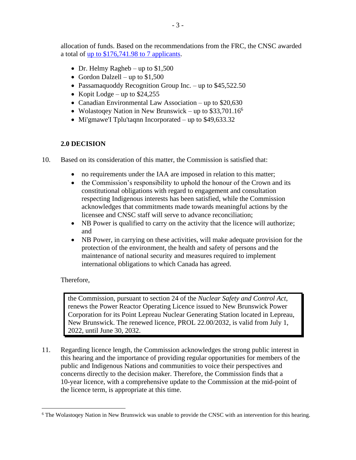allocation of funds. Based on the recommendations from the FRC, the CNSC awarded a total of [up to \\$176,741.98](http://nuclearsafety.gc.ca/eng/the-commission/participant-funding-program/opportunities/pfp-nb-power-renew-point-lepreau-nuclear-generating-station-licence.cfm) to 7 applicants.

- Dr. Helmy Ragheb up to  $$1,500$
- Gordon Dalzell up to  $$1,500$
- Passamaquoddy Recognition Group Inc. up to \$45,522.50
- Kopit Lodge up to  $$24,255$
- Canadian Environmental Law Association up to \$20,630
- Wolastoqey Nation in New Brunswick up to  $$33,701.16^6$
- Mi'gmawe'l Tplu'taqnn Incorporated up to \$49,633.32

#### <span id="page-7-0"></span>**2.0 DECISION**

- 10. Based on its consideration of this matter, the Commission is satisfied that:
	- no requirements under the IAA are imposed in relation to this matter;
	- the Commission's responsibility to uphold the honour of the Crown and its constitutional obligations with regard to engagement and consultation respecting Indigenous interests has been satisfied, while the Commission acknowledges that commitments made towards meaningful actions by the licensee and CNSC staff will serve to advance reconciliation;
	- NB Power is qualified to carry on the activity that the licence will authorize; and
	- NB Power, in carrying on these activities, will make adequate provision for the protection of the environment, the health and safety of persons and the maintenance of national security and measures required to implement international obligations to which Canada has agreed.

#### Therefore,

the Commission, pursuant to section 24 of the *Nuclear Safety and Control Act*, renews the Power Reactor Operating Licence issued to New Brunswick Power Corporation for its Point Lepreau Nuclear Generating Station located in Lepreau, New Brunswick. The renewed licence, PROL 22.00/2032, is valid from July 1, 2022, until June 30, 2032.

11. Regarding licence length, the Commission acknowledges the strong public interest in this hearing and the importance of providing regular opportunities for members of the public and Indigenous Nations and communities to voice their perspectives and concerns directly to the decision maker. Therefore, the Commission finds that a 10-year licence, with a comprehensive update to the Commission at the mid-point of the licence term, is appropriate at this time.

<sup>6</sup> The Wolastoqey Nation in New Brunswick was unable to provide the CNSC with an intervention for this hearing.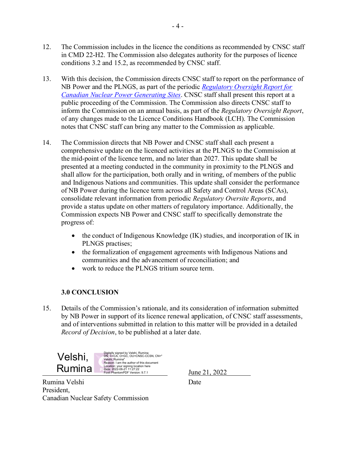- 12. The Commission includes in the licence the conditions as recommended by CNSC staff in CMD 22-H2. The Commission also delegates authority for the purposes of licence conditions 3.2 and 15.2, as recommended by CNSC staff.
- 13. With this decision, the Commission directs CNSC staff to report on the performance of NB Power and the PLNGS, as part of the periodic *Regulatory Oversight Report for Canadian Nuclear Power Generating Sites*. CNSC staff shall present this report at a public proceeding of the Commission. The Commission also directs CNSC staff to inform the Commission on an annual basis, as part of the *Regulatory Oversight Report*, of any changes made to the Licence Conditions Handbook (LCH). The Commission notes that CNSC staff can bring any matter to the Commission as applicable.
- 14. The Commission directs that NB Power and CNSC staff shall each present a comprehensive update on the licenced activities at the PLNGS to the Commission at the mid-point of the licence term, and no later than 2027. This update shall be presented at a meeting conducted in the community in proximity to the PLNGS and shall allow for the participation, both orally and in writing, of members of the public and Indigenous Nations and communities. This update shall consider the performance of NB Power during the licence term across all Safety and Control Areas (SCAs), consolidate relevant information from periodic *Regulatory Oversite Reports*, and provide a status update on other matters of regulatory importance. Additionally, the Commission expects NB Power and CNSC staff to specifically demonstrate the progress of:
	- the conduct of Indigenous Knowledge (IK) studies, and incorporation of IK in PLNGS practises;
	- the formalization of engagement agreements with Indigenous Nations and communities and the advancement of reconciliation; and
	- work to reduce the PLNGS tritium source term.

## **3.0 CONCLUSION**

15. Details of the Commission's rationale, and its consideration of information submitted by NB Power in support of its licence renewal application, of CNSC staff assessments, and of interventions submitted in relation to this matter will be provided in a detailed *Record of Decision*, to be published at a later date.



Rumina Velshi Date President, Canadian Nuclear Safety Commission

June 21, 2022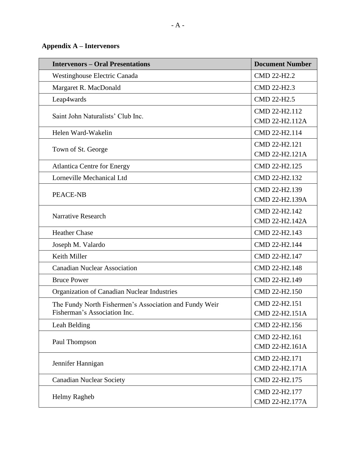## <span id="page-9-0"></span>**Appendix A – Intervenors**

| <b>Intervenors - Oral Presentations</b>                | <b>Document Number</b> |
|--------------------------------------------------------|------------------------|
| <b>Westinghouse Electric Canada</b>                    | CMD 22-H2.2            |
| Margaret R. MacDonald                                  | CMD 22-H2.3            |
| Leap4wards                                             | CMD 22-H2.5            |
|                                                        | CMD 22-H2.112          |
| Saint John Naturalists' Club Inc.                      | CMD 22-H2.112A         |
| Helen Ward-Wakelin                                     | CMD 22-H2.114          |
| Town of St. George                                     | CMD 22-H2.121          |
|                                                        | CMD 22-H2.121A         |
| <b>Atlantica Centre for Energy</b>                     | CMD 22-H2.125          |
| Lorneville Mechanical Ltd                              | CMD 22-H2.132          |
| <b>PEACE-NB</b>                                        | CMD 22-H2.139          |
|                                                        | CMD 22-H2.139A         |
| <b>Narrative Research</b>                              | CMD 22-H2.142          |
|                                                        | CMD 22-H2.142A         |
| <b>Heather Chase</b>                                   | CMD 22-H2.143          |
| Joseph M. Valardo                                      | CMD 22-H2.144          |
| Keith Miller                                           | CMD 22-H2.147          |
| <b>Canadian Nuclear Association</b>                    | CMD 22-H2.148          |
| <b>Bruce Power</b>                                     | CMD 22-H2.149          |
| Organization of Canadian Nuclear Industries            | CMD 22-H2.150          |
| The Fundy North Fishermen's Association and Fundy Weir | CMD 22-H2.151          |
| Fisherman's Association Inc.                           | CMD 22-H2.151A         |
| Leah Belding                                           | CMD 22-H2.156          |
|                                                        | CMD 22-H2.161          |
| Paul Thompson                                          | CMD 22-H2.161A         |
| Jennifer Hannigan                                      | CMD 22-H2.171          |
|                                                        | CMD 22-H2.171A         |
| <b>Canadian Nuclear Society</b>                        | CMD 22-H2.175          |
| Helmy Ragheb                                           | CMD 22-H2.177          |
|                                                        | CMD 22-H2.177A         |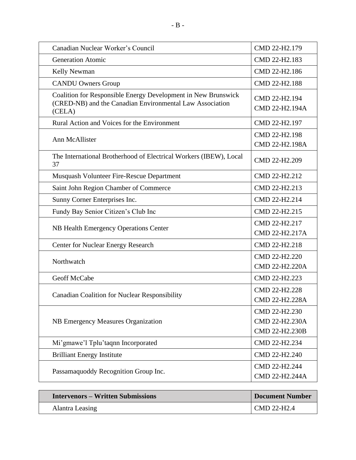| Canadian Nuclear Worker's Council                                                                                                   | CMD 22-H2.179                                     |
|-------------------------------------------------------------------------------------------------------------------------------------|---------------------------------------------------|
| <b>Generation Atomic</b>                                                                                                            | CMD 22-H2.183                                     |
| Kelly Newman                                                                                                                        | CMD 22-H2.186                                     |
| <b>CANDU Owners Group</b>                                                                                                           | CMD 22-H2.188                                     |
| Coalition for Responsible Energy Development in New Brunswick<br>(CRED-NB) and the Canadian Environmental Law Association<br>(CELA) | CMD 22-H2.194<br>CMD 22-H2.194A                   |
| Rural Action and Voices for the Environment                                                                                         | CMD 22-H2.197                                     |
| Ann McAllister                                                                                                                      | CMD 22-H2.198<br>CMD 22-H2.198A                   |
| The International Brotherhood of Electrical Workers (IBEW), Local<br>37                                                             | CMD 22-H2.209                                     |
| Musquash Volunteer Fire-Rescue Department                                                                                           | CMD 22-H2.212                                     |
| Saint John Region Chamber of Commerce                                                                                               | CMD 22-H2.213                                     |
| Sunny Corner Enterprises Inc.                                                                                                       | CMD 22-H2.214                                     |
| Fundy Bay Senior Citizen's Club Inc                                                                                                 | CMD 22-H2.215                                     |
| <b>NB Health Emergency Operations Center</b>                                                                                        | CMD 22-H2.217<br>CMD 22-H2.217A                   |
| <b>Center for Nuclear Energy Research</b>                                                                                           | CMD 22-H2.218                                     |
| Northwatch                                                                                                                          | CMD 22-H2.220<br>CMD 22-H2.220A                   |
| Geoff McCabe                                                                                                                        | CMD 22-H2.223                                     |
| <b>Canadian Coalition for Nuclear Responsibility</b>                                                                                | CMD 22-H2.228<br>CMD 22-H2.228A                   |
| NB Emergency Measures Organization                                                                                                  | CMD 22-H2.230<br>CMD 22-H2.230A<br>CMD 22-H2.230B |
| Mi'gmawe'l Tplu'taqnn Incorporated                                                                                                  | CMD 22-H2.234                                     |
| <b>Brilliant Energy Institute</b>                                                                                                   | CMD 22-H2.240                                     |
| Passamaquoddy Recognition Group Inc.                                                                                                | CMD 22-H2.244<br>CMD 22-H2.244A                   |

| <b>Intervenors – Written Submissions</b> | <b>Document Number</b> |
|------------------------------------------|------------------------|
| Alantra Leasing                          | CMD 22-H2.4            |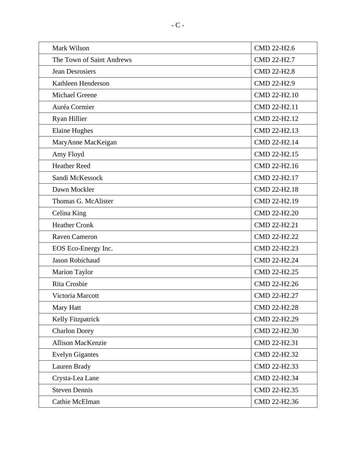| Mark Wilson               | CMD 22-H2.6  |
|---------------------------|--------------|
| The Town of Saint Andrews | CMD 22-H2.7  |
| <b>Jean Desrosiers</b>    | CMD 22-H2.8  |
| Kathleen Henderson        | CMD 22-H2.9  |
| Michael Greene            | CMD 22-H2.10 |
| Auréa Cormier             | CMD 22-H2.11 |
| Ryan Hillier              | CMD 22-H2.12 |
| <b>Elaine Hughes</b>      | CMD 22-H2.13 |
| MaryAnne MacKeigan        | CMD 22-H2.14 |
| Amy Floyd                 | CMD 22-H2.15 |
| <b>Heather Reed</b>       | CMD 22-H2.16 |
| Sandi McKessock           | CMD 22-H2.17 |
| Dawn Mockler              | CMD 22-H2.18 |
| Thomas G. McAlister       | CMD 22-H2.19 |
| Celina King               | CMD 22-H2.20 |
| <b>Heather Cronk</b>      | CMD 22-H2.21 |
| Raven Cameron             | CMD 22-H2.22 |
| EOS Eco-Energy Inc.       | CMD 22-H2.23 |
| Jason Robichaud           | CMD 22-H2.24 |
| Marion Taylor             | CMD 22-H2.25 |
| Rita Crosbie              | CMD 22-H2.26 |
| Victoria Marcott          | CMD 22-H2.27 |
| Mary Hatt                 | CMD 22-H2.28 |
| Kelly Fitzpatrick         | CMD 22-H2.29 |
| <b>Charlon Dorey</b>      | CMD 22-H2.30 |
| <b>Allison MacKenzie</b>  | CMD 22-H2.31 |
| <b>Evelyn Gigantes</b>    | CMD 22-H2.32 |
| Lauren Brady              | CMD 22-H2.33 |
| Crysta-Lea Lane           | CMD 22-H2.34 |
| <b>Steven Dennis</b>      | CMD 22-H2.35 |
| Cathie McElman            | CMD 22-H2.36 |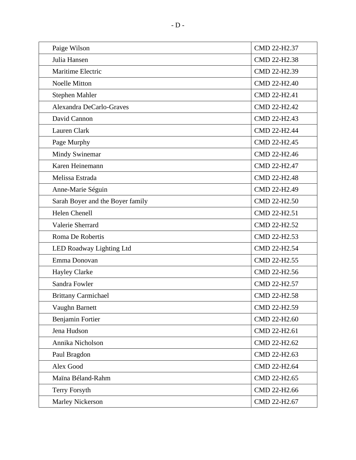| Paige Wilson                     | CMD 22-H2.37 |
|----------------------------------|--------------|
| Julia Hansen                     | CMD 22-H2.38 |
| Maritime Electric                | CMD 22-H2.39 |
| <b>Noelle Mitton</b>             | CMD 22-H2.40 |
| Stephen Mahler                   | CMD 22-H2.41 |
| Alexandra DeCarlo-Graves         | CMD 22-H2.42 |
| David Cannon                     | CMD 22-H2.43 |
| Lauren Clark                     | CMD 22-H2.44 |
| Page Murphy                      | CMD 22-H2.45 |
| Mindy Swinemar                   | CMD 22-H2.46 |
| Karen Heinemann                  | CMD 22-H2.47 |
| Melissa Estrada                  | CMD 22-H2.48 |
| Anne-Marie Séguin                | CMD 22-H2.49 |
| Sarah Boyer and the Boyer family | CMD 22-H2.50 |
| <b>Helen Chenell</b>             | CMD 22-H2.51 |
| Valerie Sherrard                 | CMD 22-H2.52 |
| Roma De Robertis                 | CMD 22-H2.53 |
| LED Roadway Lighting Ltd         | CMD 22-H2.54 |
| Emma Donovan                     | CMD 22-H2.55 |
| <b>Hayley Clarke</b>             | CMD 22-H2.56 |
| Sandra Fowler                    | CMD 22-H2.57 |
| <b>Brittany Carmichael</b>       | CMD 22-H2.58 |
| Vaughn Barnett                   | CMD 22-H2.59 |
| Benjamin Fortier                 | CMD 22-H2.60 |
| Jena Hudson                      | CMD 22-H2.61 |
| Annika Nicholson                 | CMD 22-H2.62 |
| Paul Bragdon                     | CMD 22-H2.63 |
| Alex Good                        | CMD 22-H2.64 |
| Maïna Béland-Rahm                | CMD 22-H2.65 |
| Terry Forsyth                    | CMD 22-H2.66 |
| Marley Nickerson                 | CMD 22-H2.67 |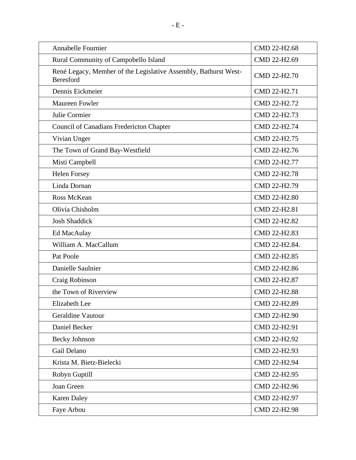| <b>Annabelle Fournier</b>                                                           | CMD 22-H2.68  |
|-------------------------------------------------------------------------------------|---------------|
| Rural Community of Campobello Island                                                | CMD 22-H2.69  |
| René Legacy, Member of the Legislative Assembly, Bathurst West-<br><b>Beresford</b> | CMD 22-H2.70  |
| Dennis Eickmeier                                                                    | CMD 22-H2.71  |
| Maureen Fowler                                                                      | CMD 22-H2.72  |
| Julie Cormier                                                                       | CMD 22-H2.73  |
| Council of Canadians Fredericton Chapter                                            | CMD 22-H2.74  |
| Vivian Unger                                                                        | CMD 22-H2.75  |
| The Town of Grand Bay-Westfield                                                     | CMD 22-H2.76  |
| Misti Campbell                                                                      | CMD 22-H2.77  |
| <b>Helen Forsey</b>                                                                 | CMD 22-H2.78  |
| Linda Dornan                                                                        | CMD 22-H2.79  |
| Ross McKean                                                                         | CMD 22-H2.80  |
| Olivia Chisholm                                                                     | CMD 22-H2.81  |
| <b>Josh Shaddick</b>                                                                | CMD 22-H2.82  |
| Ed MacAulay                                                                         | CMD 22-H2.83  |
| William A. MacCallum                                                                | CMD 22-H2.84. |
| Pat Poole                                                                           | CMD 22-H2.85  |
| Danielle Saulnier                                                                   | CMD 22-H2.86  |
| Craig Robinson                                                                      | CMD 22-H2.87  |
| the Town of Riverview                                                               | CMD 22-H2.88  |
| <b>Elizabeth Lee</b>                                                                | CMD 22-H2.89  |
| Geraldine Vautour                                                                   | CMD 22-H2.90  |
| Daniel Becker                                                                       | CMD 22-H2.91  |
| <b>Becky Johnson</b>                                                                | CMD 22-H2.92  |
| Gail Delano                                                                         | CMD 22-H2.93  |
| Krista M. Bietz-Bielecki                                                            | CMD 22-H2.94  |
| Robyn Guptill                                                                       | CMD 22-H2.95  |
| Joan Green                                                                          | CMD 22-H2.96  |
| <b>Karen Daley</b>                                                                  | CMD 22-H2.97  |
| Faye Arbou                                                                          | CMD 22-H2.98  |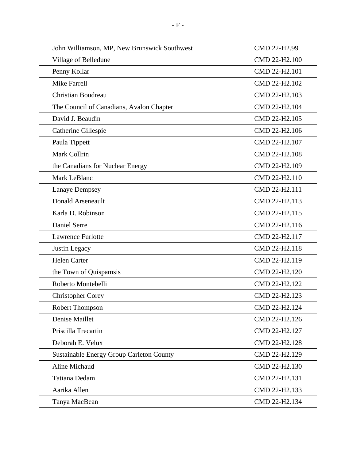| John Williamson, MP, New Brunswick Southwest    | CMD 22-H2.99  |
|-------------------------------------------------|---------------|
| Village of Belledune                            | CMD 22-H2.100 |
| Penny Kollar                                    | CMD 22-H2.101 |
| <b>Mike Farrell</b>                             | CMD 22-H2.102 |
| <b>Christian Boudreau</b>                       | CMD 22-H2.103 |
| The Council of Canadians, Avalon Chapter        | CMD 22-H2.104 |
| David J. Beaudin                                | CMD 22-H2.105 |
| Catherine Gillespie                             | CMD 22-H2.106 |
| Paula Tippett                                   | CMD 22-H2.107 |
| Mark Collrin                                    | CMD 22-H2.108 |
| the Canadians for Nuclear Energy                | CMD 22-H2.109 |
| Mark LeBlanc                                    | CMD 22-H2.110 |
| <b>Lanaye Dempsey</b>                           | CMD 22-H2.111 |
| <b>Donald Arseneault</b>                        | CMD 22-H2.113 |
| Karla D. Robinson                               | CMD 22-H2.115 |
| Daniel Serre                                    | CMD 22-H2.116 |
| <b>Lawrence Furlotte</b>                        | CMD 22-H2.117 |
| Justin Legacy                                   | CMD 22-H2.118 |
| <b>Helen Carter</b>                             | CMD 22-H2.119 |
| the Town of Quispamsis                          | CMD 22-H2.120 |
| Roberto Montebelli                              | CMD 22-H2.122 |
| <b>Christopher Corey</b>                        | CMD 22-H2.123 |
| Robert Thompson                                 | CMD 22-H2.124 |
| Denise Maillet                                  | CMD 22-H2.126 |
| Priscilla Trecartin                             | CMD 22-H2.127 |
| Deborah E. Velux                                | CMD 22-H2.128 |
| <b>Sustainable Energy Group Carleton County</b> | CMD 22-H2.129 |
| Aline Michaud                                   | CMD 22-H2.130 |
| Tatiana Dedam                                   | CMD 22-H2.131 |
| Aarika Allen                                    | CMD 22-H2.133 |
| Tanya MacBean                                   | CMD 22-H2.134 |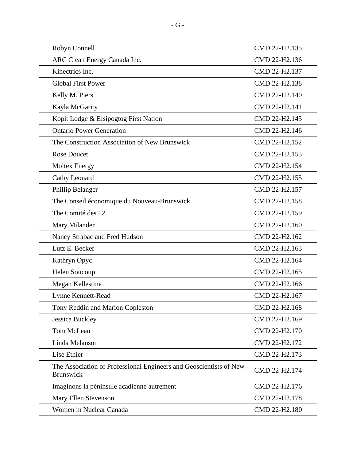| Robyn Connell                                                                          | CMD 22-H2.135 |
|----------------------------------------------------------------------------------------|---------------|
| ARC Clean Energy Canada Inc.                                                           | CMD 22-H2.136 |
| Kinectrics Inc.                                                                        | CMD 22-H2.137 |
| <b>Global First Power</b>                                                              | CMD 22-H2.138 |
| Kelly M. Piers                                                                         | CMD 22-H2.140 |
| Kayla McGarity                                                                         | CMD 22-H2.141 |
| Kopit Lodge & Elsipogtog First Nation                                                  | CMD 22-H2.145 |
| <b>Ontario Power Generation</b>                                                        | CMD 22-H2.146 |
| The Construction Association of New Brunswick                                          | CMD 22-H2.152 |
| <b>Rose Doucet</b>                                                                     | CMD 22-H2.153 |
| <b>Moltex Energy</b>                                                                   | CMD 22-H2.154 |
| Cathy Leonard                                                                          | CMD 22-H2.155 |
| Phillip Belanger                                                                       | CMD 22-H2.157 |
| The Conseil économique du Nouveau-Brunswick                                            | CMD 22-H2.158 |
| The Comité des 12                                                                      | CMD 22-H2.159 |
| Mary Milander                                                                          | CMD 22-H2.160 |
| Nancy Strabac and Fred Hudson                                                          | CMD 22-H2.162 |
| Lutz E. Becker                                                                         | CMD 22-H2.163 |
| Kathryn Opyc                                                                           | CMD 22-H2.164 |
| Helen Soucoup                                                                          | CMD 22-H2.165 |
| Megan Kellestine                                                                       | CMD 22-H2.166 |
| Lynne Kennett-Read                                                                     | CMD 22-H2.167 |
| Tony Reddin and Marion Copleston                                                       | CMD 22-H2.168 |
| <b>Jessica Buckley</b>                                                                 | CMD 22-H2.169 |
| Tom McLean                                                                             | CMD 22-H2.170 |
| Linda Melanson                                                                         | CMD 22-H2.172 |
| Lise Ethier                                                                            | CMD 22-H2.173 |
| The Association of Professional Engineers and Geoscientists of New<br><b>Brunswick</b> | CMD 22-H2.174 |
| Imaginons la péninsule acadienne autrement                                             | CMD 22-H2.176 |
| Mary Ellen Stevenson                                                                   | CMD 22-H2.178 |
| Women in Nuclear Canada                                                                | CMD 22-H2.180 |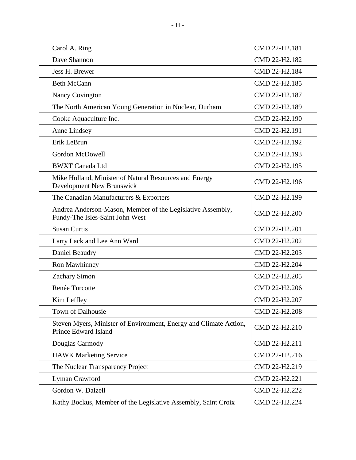| Carol A. Ring                                                                                 | CMD 22-H2.181 |
|-----------------------------------------------------------------------------------------------|---------------|
| Dave Shannon                                                                                  | CMD 22-H2.182 |
| Jess H. Brewer                                                                                | CMD 22-H2.184 |
| <b>Beth McCann</b>                                                                            | CMD 22-H2.185 |
| <b>Nancy Covington</b>                                                                        | CMD 22-H2.187 |
| The North American Young Generation in Nuclear, Durham                                        | CMD 22-H2.189 |
| Cooke Aquaculture Inc.                                                                        | CMD 22-H2.190 |
| Anne Lindsey                                                                                  | CMD 22-H2.191 |
| Erik LeBrun                                                                                   | CMD 22-H2.192 |
| <b>Gordon McDowell</b>                                                                        | CMD 22-H2.193 |
| <b>BWXT Canada Ltd</b>                                                                        | CMD 22-H2.195 |
| Mike Holland, Minister of Natural Resources and Energy<br>Development New Brunswick           | CMD 22-H2.196 |
| The Canadian Manufacturers & Exporters                                                        | CMD 22-H2.199 |
| Andrea Anderson-Mason, Member of the Legislative Assembly,<br>Fundy-The Isles-Saint John West | CMD 22-H2.200 |
| <b>Susan Curtis</b>                                                                           | CMD 22-H2.201 |
| Larry Lack and Lee Ann Ward                                                                   | CMD 22-H2.202 |
| Daniel Beaudry                                                                                | CMD 22-H2.203 |
| Ron Mawhinney                                                                                 | CMD 22-H2.204 |
| Zachary Simon                                                                                 | CMD 22-H2.205 |
| Renée Turcotte                                                                                | CMD 22-H2.206 |
| Kim Leffley                                                                                   | CMD 22-H2.207 |
| Town of Dalhousie                                                                             | CMD 22-H2.208 |
| Steven Myers, Minister of Environment, Energy and Climate Action,<br>Prince Edward Island     | CMD 22-H2.210 |
| Douglas Carmody                                                                               | CMD 22-H2.211 |
| <b>HAWK Marketing Service</b>                                                                 | CMD 22-H2.216 |
| The Nuclear Transparency Project                                                              | CMD 22-H2.219 |
| Lyman Crawford                                                                                | CMD 22-H2.221 |
| Gordon W. Dalzell                                                                             | CMD 22-H2.222 |
| Kathy Bockus, Member of the Legislative Assembly, Saint Croix                                 | CMD 22-H2.224 |